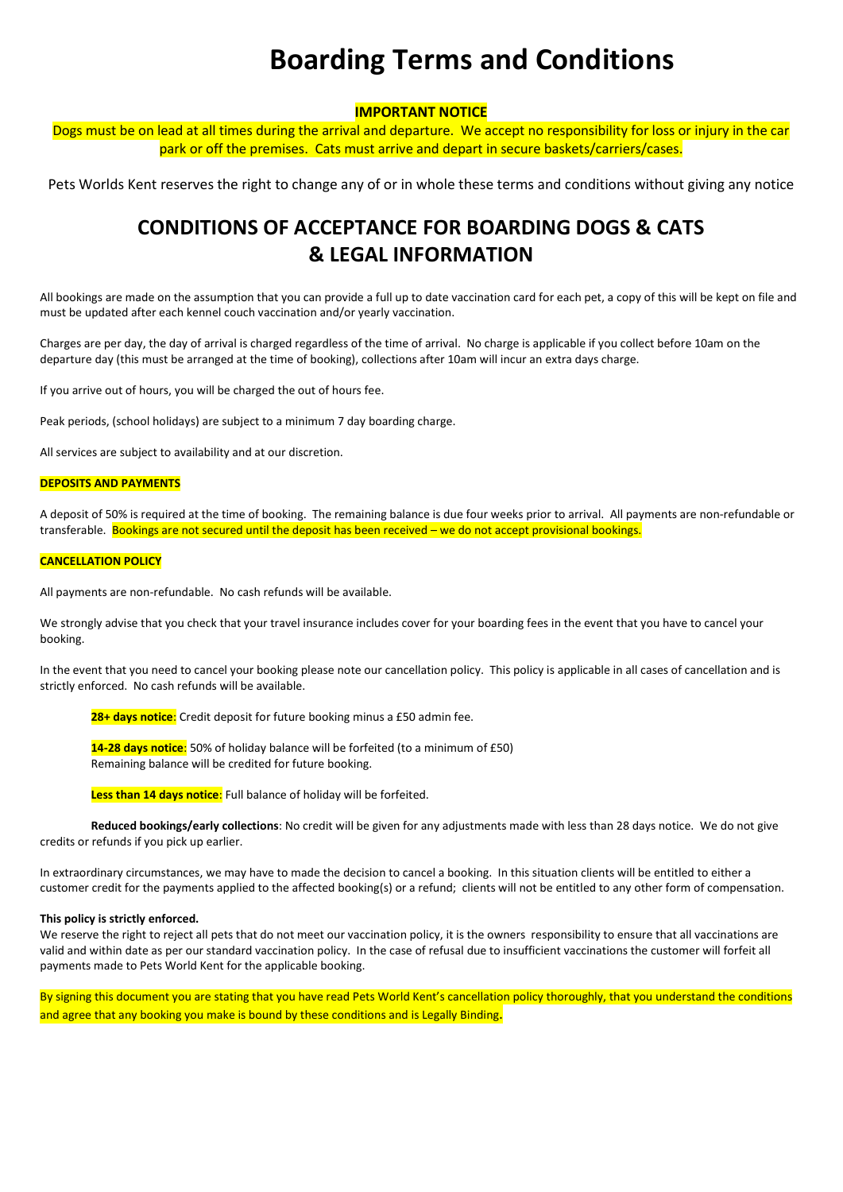# Boarding Terms and Conditions

# IMPORTANT NOTICE

Dogs must be on lead at all times during the arrival and departure. We accept no responsibility for loss or injury in the car park or off the premises. Cats must arrive and depart in secure baskets/carriers/cases.

Pets Worlds Kent reserves the right to change any of or in whole these terms and conditions without giving any notice

# CONDITIONS OF ACCEPTANCE FOR BOARDING DOGS & CATS & LEGAL INFORMATION

All bookings are made on the assumption that you can provide a full up to date vaccination card for each pet, a copy of this will be kept on file and must be updated after each kennel couch vaccination and/or yearly vaccination.

Charges are per day, the day of arrival is charged regardless of the time of arrival. No charge is applicable if you collect before 10am on the departure day (this must be arranged at the time of booking), collections after 10am will incur an extra days charge.

If you arrive out of hours, you will be charged the out of hours fee.

Peak periods, (school holidays) are subject to a minimum 7 day boarding charge.

All services are subject to availability and at our discretion.

# DEPOSITS AND PAYMENTS

A deposit of 50% is required at the time of booking. The remaining balance is due four weeks prior to arrival. All payments are non-refundable or transferable. Bookings are not secured until the deposit has been received - we do not accept provisional bookings.

# CANCELLATION POLICY

All payments are non-refundable. No cash refunds will be available.

We strongly advise that you check that your travel insurance includes cover for your boarding fees in the event that you have to cancel your booking.

In the event that you need to cancel your booking please note our cancellation policy. This policy is applicable in all cases of cancellation and is strictly enforced. No cash refunds will be available.

28+ days notice: Credit deposit for future booking minus a £50 admin fee.

14-28 days notice: 50% of holiday balance will be forfeited (to a minimum of £50) Remaining balance will be credited for future booking.

Less than 14 days notice: Full balance of holiday will be forfeited.

Reduced bookings/early collections: No credit will be given for any adjustments made with less than 28 days notice. We do not give credits or refunds if you pick up earlier.

In extraordinary circumstances, we may have to made the decision to cancel a booking. In this situation clients will be entitled to either a customer credit for the payments applied to the affected booking(s) or a refund; clients will not be entitled to any other form of compensation.

#### This policy is strictly enforced.

We reserve the right to reject all pets that do not meet our vaccination policy, it is the owners responsibility to ensure that all vaccinations are valid and within date as per our standard vaccination policy. In the case of refusal due to insufficient vaccinations the customer will forfeit all payments made to Pets World Kent for the applicable booking.

By signing this document you are stating that you have read Pets World Kent's cancellation policy thoroughly, that you understand the conditions and agree that any booking you make is bound by these conditions and is Legally Binding.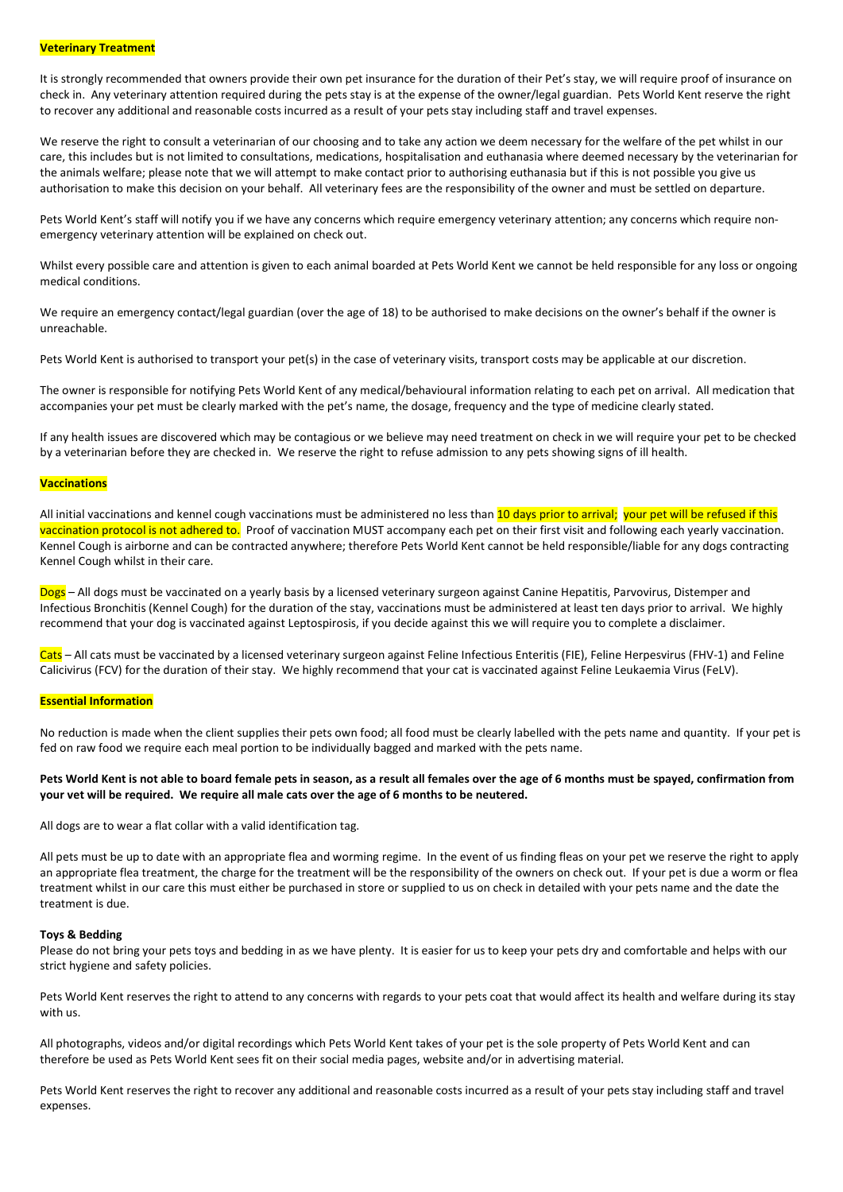#### Veterinary Treatment

It is strongly recommended that owners provide their own pet insurance for the duration of their Pet's stay, we will require proof of insurance on check in. Any veterinary attention required during the pets stay is at the expense of the owner/legal guardian. Pets World Kent reserve the right to recover any additional and reasonable costs incurred as a result of your pets stay including staff and travel expenses.

We reserve the right to consult a veterinarian of our choosing and to take any action we deem necessary for the welfare of the pet whilst in our care, this includes but is not limited to consultations, medications, hospitalisation and euthanasia where deemed necessary by the veterinarian for the animals welfare; please note that we will attempt to make contact prior to authorising euthanasia but if this is not possible you give us authorisation to make this decision on your behalf. All veterinary fees are the responsibility of the owner and must be settled on departure.

Pets World Kent's staff will notify you if we have any concerns which require emergency veterinary attention; any concerns which require nonemergency veterinary attention will be explained on check out.

Whilst every possible care and attention is given to each animal boarded at Pets World Kent we cannot be held responsible for any loss or ongoing medical conditions.

We require an emergency contact/legal guardian (over the age of 18) to be authorised to make decisions on the owner's behalf if the owner is unreachable.

Pets World Kent is authorised to transport your pet(s) in the case of veterinary visits, transport costs may be applicable at our discretion.

The owner is responsible for notifying Pets World Kent of any medical/behavioural information relating to each pet on arrival. All medication that accompanies your pet must be clearly marked with the pet's name, the dosage, frequency and the type of medicine clearly stated.

If any health issues are discovered which may be contagious or we believe may need treatment on check in we will require your pet to be checked by a veterinarian before they are checked in. We reserve the right to refuse admission to any pets showing signs of ill health.

#### **Vaccinations**

All initial vaccinations and kennel cough vaccinations must be administered no less than 10 days prior to arrival; your pet will be refused if this vaccination protocol is not adhered to. Proof of vaccination MUST accompany each pet on their first visit and following each yearly vaccination. Kennel Cough is airborne and can be contracted anywhere; therefore Pets World Kent cannot be held responsible/liable for any dogs contracting Kennel Cough whilst in their care.

Dogs – All dogs must be vaccinated on a yearly basis by a licensed veterinary surgeon against Canine Hepatitis, Parvovirus, Distemper and Infectious Bronchitis (Kennel Cough) for the duration of the stay, vaccinations must be administered at least ten days prior to arrival. We highly recommend that your dog is vaccinated against Leptospirosis, if you decide against this we will require you to complete a disclaimer.

Cats – All cats must be vaccinated by a licensed veterinary surgeon against Feline Infectious Enteritis (FIE), Feline Herpesvirus (FHV-1) and Feline Calicivirus (FCV) for the duration of their stay. We highly recommend that your cat is vaccinated against Feline Leukaemia Virus (FeLV).

#### Essential Information

No reduction is made when the client supplies their pets own food; all food must be clearly labelled with the pets name and quantity. If your pet is fed on raw food we require each meal portion to be individually bagged and marked with the pets name.

## Pets World Kent is not able to board female pets in season, as a result all females over the age of 6 months must be spayed, confirmation from your vet will be required. We require all male cats over the age of 6 months to be neutered.

All dogs are to wear a flat collar with a valid identification tag.

All pets must be up to date with an appropriate flea and worming regime. In the event of us finding fleas on your pet we reserve the right to apply an appropriate flea treatment, the charge for the treatment will be the responsibility of the owners on check out. If your pet is due a worm or flea treatment whilst in our care this must either be purchased in store or supplied to us on check in detailed with your pets name and the date the treatment is due.

#### Toys & Bedding

Please do not bring your pets toys and bedding in as we have plenty. It is easier for us to keep your pets dry and comfortable and helps with our strict hygiene and safety policies.

Pets World Kent reserves the right to attend to any concerns with regards to your pets coat that would affect its health and welfare during its stay with us.

All photographs, videos and/or digital recordings which Pets World Kent takes of your pet is the sole property of Pets World Kent and can therefore be used as Pets World Kent sees fit on their social media pages, website and/or in advertising material.

Pets World Kent reserves the right to recover any additional and reasonable costs incurred as a result of your pets stay including staff and travel expenses.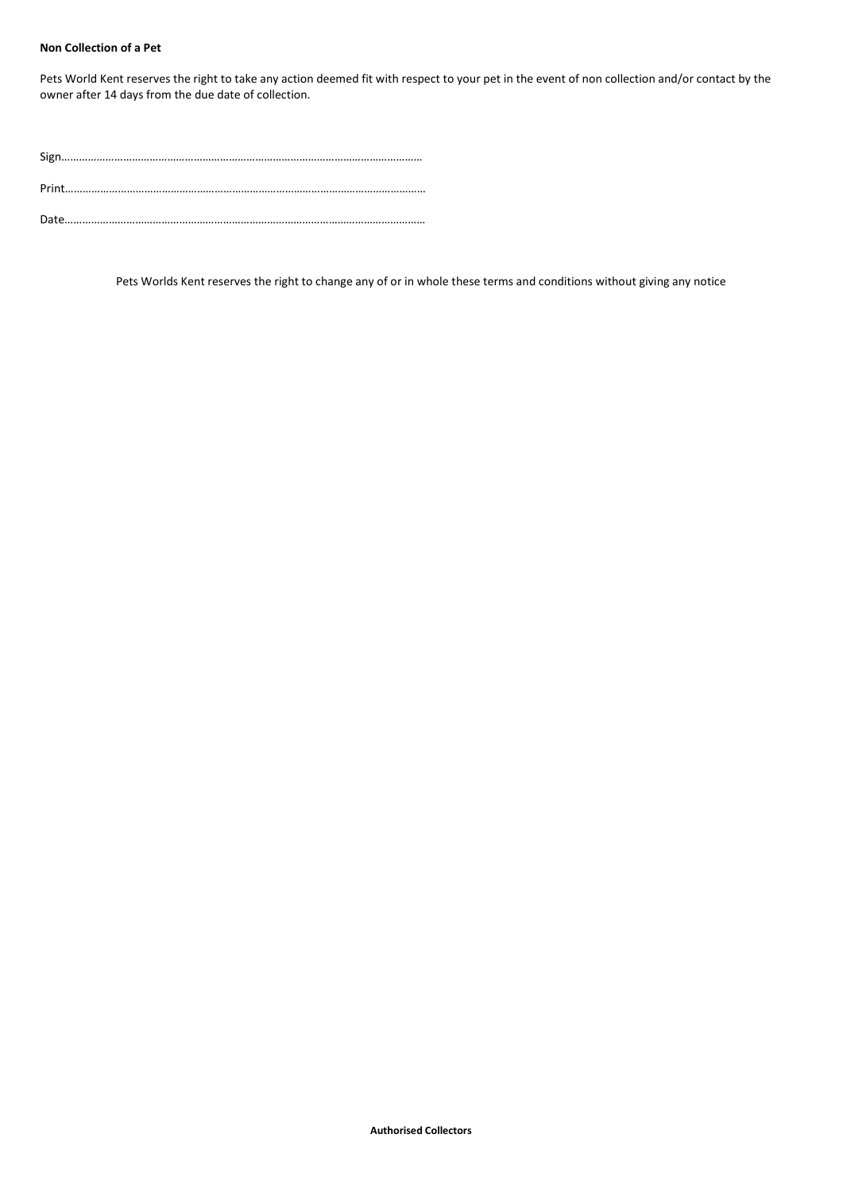# Non Collection of a Pet

Pets World Kent reserves the right to take any action deemed fit with respect to your pet in the event of non collection and/or contact by the owner after 14 days from the due date of collection.

Pets Worlds Kent reserves the right to change any of or in whole these terms and conditions without giving any notice